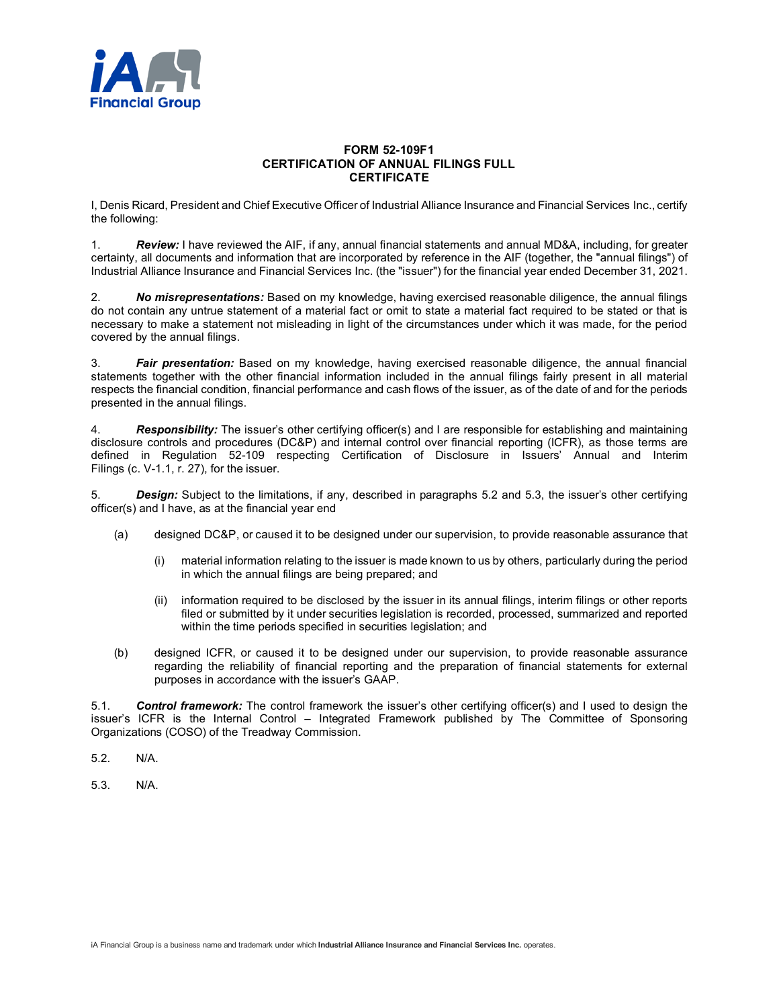

## **FORM 52-109F1 CERTIFICATION OF ANNUAL FILINGS FULL CERTIFICATE**

I, Denis Ricard, President and Chief Executive Officer of Industrial Alliance Insurance and Financial Services Inc., certify the following:

1. *Review:* I have reviewed the AIF, if any, annual financial statements and annual MD&A, including, for greater certainty, all documents and information that are incorporated by reference in the AIF (together, the "annual filings") of Industrial Alliance Insurance and Financial Services Inc. (the "issuer") for the financial year ended December 31, 2021.

2. *No misrepresentations:* Based on my knowledge, having exercised reasonable diligence, the annual filings do not contain any untrue statement of a material fact or omit to state a material fact required to be stated or that is necessary to make a statement not misleading in light of the circumstances under which it was made, for the period covered by the annual filings.

3. *Fair presentation:* Based on my knowledge, having exercised reasonable diligence, the annual financial statements together with the other financial information included in the annual filings fairly present in all material respects the financial condition, financial performance and cash flows of the issuer, as of the date of and for the periods presented in the annual filings.

4. *Responsibility:* The issuer's other certifying officer(s) and I are responsible for establishing and maintaining disclosure controls and procedures (DC&P) and internal control over financial reporting (ICFR), as those terms are defined in Regulation 52-109 respecting Certification of Disclosure in Issuers' Annual and Interim Filings (c. V-1.1, r. 27), for the issuer.

5. *Design:* Subject to the limitations, if any, described in paragraphs 5.2 and 5.3, the issuer's other certifying officer(s) and I have, as at the financial year end

- (a) designed DC&P, or caused it to be designed under our supervision, to provide reasonable assurance that
	- (i) material information relating to the issuer is made known to us by others, particularly during the period in which the annual filings are being prepared; and
	- (ii) information required to be disclosed by the issuer in its annual filings, interim filings or other reports filed or submitted by it under securities legislation is recorded, processed, summarized and reported within the time periods specified in securities legislation; and
- (b) designed ICFR, or caused it to be designed under our supervision, to provide reasonable assurance regarding the reliability of financial reporting and the preparation of financial statements for external purposes in accordance with the issuer's GAAP.

5.1. *Control framework:* The control framework the issuer's other certifying officer(s) and I used to design the issuer's ICFR is the Internal Control – Integrated Framework published by The Committee of Sponsoring Organizations (COSO) of the Treadway Commission.

- 5.2. N/A.
- 5.3. N/A.